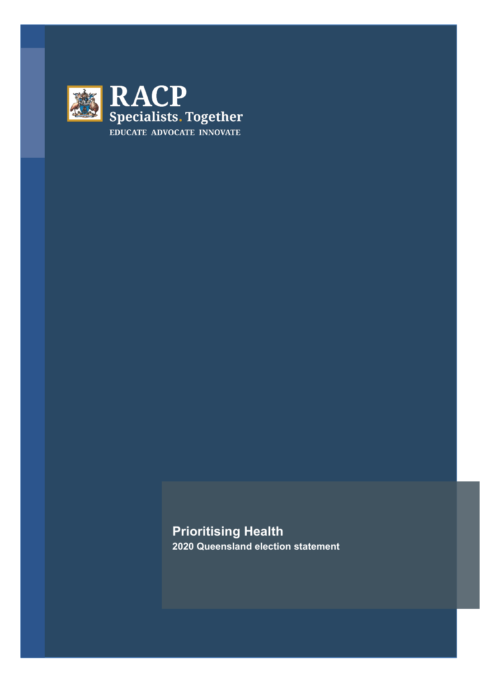

**Prioritising Health 2020 Queensland election statement**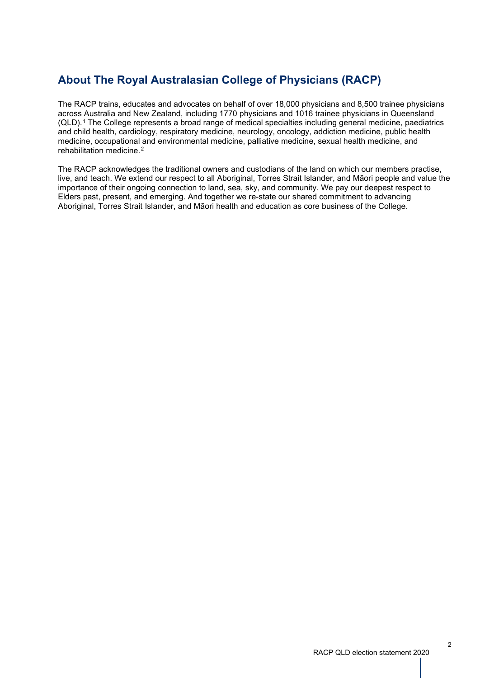# **About The Royal Australasian College of Physicians (RACP)**

The RACP trains, educates and advocates on behalf of over 18,000 physicians and 8,500 trainee physicians across Australia and New Zealand, including 1770 physicians and 1016 trainee physicians in Queensland (QLD).[1](#page-13-0) The College represents a broad range of medical specialties including general medicine, paediatrics and child health, cardiology, respiratory medicine, neurology, oncology, addiction medicine, public health medicine, occupational and environmental medicine, palliative medicine, sexual health medicine, and rehabilitation medicine.[2](#page-13-1)

The RACP acknowledges the traditional owners and custodians of the land on which our members practise, live, and teach. We extend our respect to all Aboriginal, Torres Strait Islander, and Māori people and value the importance of their ongoing connection to land, sea, sky, and community. We pay our deepest respect to Elders past, present, and emerging. And together we re-state our shared commitment to advancing Aboriginal, Torres Strait Islander, and Māori health and education as core business of the College.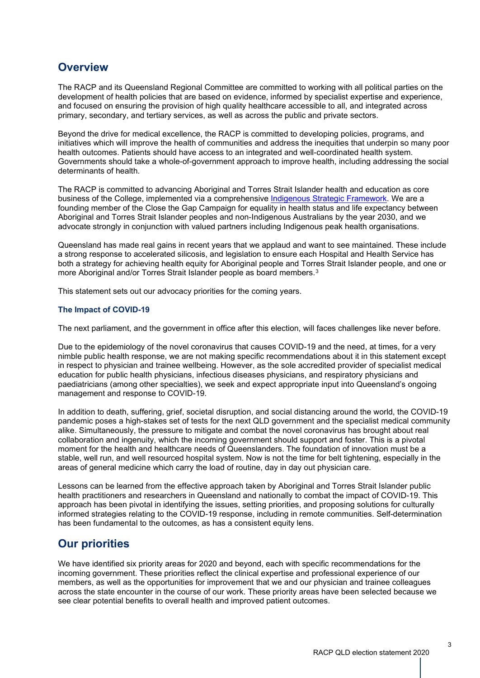## **Overview**

The RACP and its Queensland Regional Committee are committed to working with all political parties on the development of health policies that are based on evidence, informed by specialist expertise and experience, and focused on ensuring the provision of high quality healthcare accessible to all, and integrated across primary, secondary, and tertiary services, as well as across the public and private sectors.

Beyond the drive for medical excellence, the RACP is committed to developing policies, programs, and initiatives which will improve the health of communities and address the inequities that underpin so many poor health outcomes. Patients should have access to an integrated and well-coordinated health system. Governments should take a whole-of-government approach to improve health, including addressing the social determinants of health.

The RACP is committed to advancing Aboriginal and Torres Strait Islander health and education as core business of the College, implemented via a comprehensive Indigenous Strategic [Framework.](https://www.racp.edu.au/about/board-and-governance/governance-documents/indigenous-strategic-framework-2018-2028) We are a founding member of the Close the Gap Campaign for equality in health status and life expectancy between Aboriginal and Torres Strait Islander peoples and non-Indigenous Australians by the year 2030, and we advocate strongly in conjunction with valued partners including Indigenous peak health organisations.

Queensland has made real gains in recent years that we applaud and want to see maintained. These include a strong response to accelerated silicosis, and legislation to ensure each Hospital and Health Service has both a strategy for achieving health equity for Aboriginal people and Torres Strait Islander people, and one or more Aboriginal and/or Torres Strait Islander people as board members.[3](#page-13-2)

This statement sets out our advocacy priorities for the coming years.

## **The Impact of COVID-19**

The next parliament, and the government in office after this election, will faces challenges like never before.

Due to the epidemiology of the novel coronavirus that causes COVID-19 and the need, at times, for a very nimble public health response, we are not making specific recommendations about it in this statement except in respect to physician and trainee wellbeing. However, as the sole accredited provider of specialist medical education for public health physicians, infectious diseases physicians, and respiratory physicians and paediatricians (among other specialties), we seek and expect appropriate input into Queensland's ongoing management and response to COVID-19.

In addition to death, suffering, grief, societal disruption, and social distancing around the world, the COVID-19 pandemic poses a high-stakes set of tests for the next QLD government and the specialist medical community alike. Simultaneously, the pressure to mitigate and combat the novel coronavirus has brought about real collaboration and ingenuity, which the incoming government should support and foster. This is a pivotal moment for the health and healthcare needs of Queenslanders. The foundation of innovation must be a stable, well run, and well resourced hospital system. Now is not the time for belt tightening, especially in the areas of general medicine which carry the load of routine, day in day out physician care.

Lessons can be learned from the effective approach taken by Aboriginal and Torres Strait Islander public health practitioners and researchers in Queensland and nationally to combat the impact of COVID-19. This approach has been pivotal in identifying the issues, setting priorities, and proposing solutions for culturally informed strategies relating to the COVID-19 response, including in remote communities. Self-determination has been fundamental to the outcomes, as has a consistent equity lens.

## **Our priorities**

We have identified six priority areas for 2020 and beyond, each with specific recommendations for the incoming government. These priorities reflect the clinical expertise and professional experience of our members, as well as the opportunities for improvement that we and our physician and trainee colleagues across the state encounter in the course of our work. These priority areas have been selected because we see clear potential benefits to overall health and improved patient outcomes.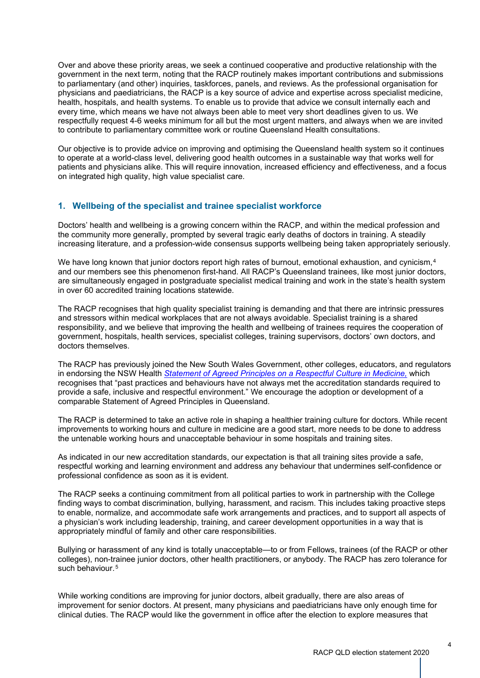Over and above these priority areas, we seek a continued cooperative and productive relationship with the government in the next term, noting that the RACP routinely makes important contributions and submissions to parliamentary (and other) inquiries, taskforces, panels, and reviews. As the professional organisation for physicians and paediatricians, the RACP is a key source of advice and expertise across specialist medicine, health, hospitals, and health systems. To enable us to provide that advice we consult internally each and every time, which means we have not always been able to meet very short deadlines given to us. We respectfully request 4-6 weeks minimum for all but the most urgent matters, and always when we are invited to contribute to parliamentary committee work or routine Queensland Health consultations.

Our objective is to provide advice on improving and optimising the Queensland health system so it continues to operate at a world-class level, delivering good health outcomes in a sustainable way that works well for patients and physicians alike. This will require innovation, increased efficiency and effectiveness, and a focus on integrated high quality, high value specialist care.

## **1. Wellbeing of the specialist and trainee specialist workforce**

Doctors' health and wellbeing is a growing concern within the RACP, and within the medical profession and the community more generally, prompted by several tragic early deaths of doctors in training. A steadily increasing literature, and a profession-wide consensus supports wellbeing being taken appropriately seriously.

We have long known that junior doctors report high rates of burnout, emotional exhaustion, and cynicism,<sup>[4](#page-13-3)</sup> and our members see this phenomenon first-hand. All RACP's Queensland trainees, like most junior doctors, are simultaneously engaged in postgraduate specialist medical training and work in the state's health system in over 60 accredited training locations statewide.

The RACP recognises that high quality specialist training is demanding and that there are intrinsic pressures and stressors within medical workplaces that are not always avoidable. Specialist training is a shared responsibility, and we believe that improving the health and wellbeing of trainees requires the cooperation of government, hospitals, health services, specialist colleges, training supervisors, doctors' own doctors, and doctors themselves.

The RACP has previously joined the New South Wales Government, other colleges, educators, and regulators in endorsing the NSW Health *Statement of Agreed Principles on a [Respectful](https://www.health.nsw.gov.au/workforce/culture/Publications/respectful-culture-in-medicine.pdf) Culture in Medicine,* which recognises that "past practices and behaviours have not always met the accreditation standards required to provide a safe, inclusive and respectful environment." We encourage the adoption or development of a comparable Statement of Agreed Principles in Queensland.

The RACP is determined to take an active role in shaping a healthier training culture for doctors. While recent improvements to working hours and culture in medicine are a good start, more needs to be done to address the untenable working hours and unacceptable behaviour in some hospitals and training sites.

As indicated in our new accreditation standards, our expectation is that all training sites provide a safe, respectful working and learning environment and address any behaviour that undermines self-confidence or professional confidence as soon as it is evident.

The RACP seeks a continuing commitment from all political parties to work in partnership with the College finding ways to combat discrimination, bullying, harassment, and racism. This includes taking proactive steps to enable, normalize, and accommodate safe work arrangements and practices, and to support all aspects of a physician's work including leadership, training, and career development opportunities in a way that is appropriately mindful of family and other care responsibilities.

Bullying or harassment of any kind is totally unacceptable—to or from Fellows, trainees (of the RACP or other colleges), non-trainee junior doctors, other health practitioners, or anybody. The RACP has zero tolerance for such behaviour.<sup>[5](#page-13-4)</sup>

While working conditions are improving for junior doctors, albeit gradually, there are also areas of improvement for senior doctors. At present, many physicians and paediatricians have only enough time for clinical duties. The RACP would like the government in office after the election to explore measures that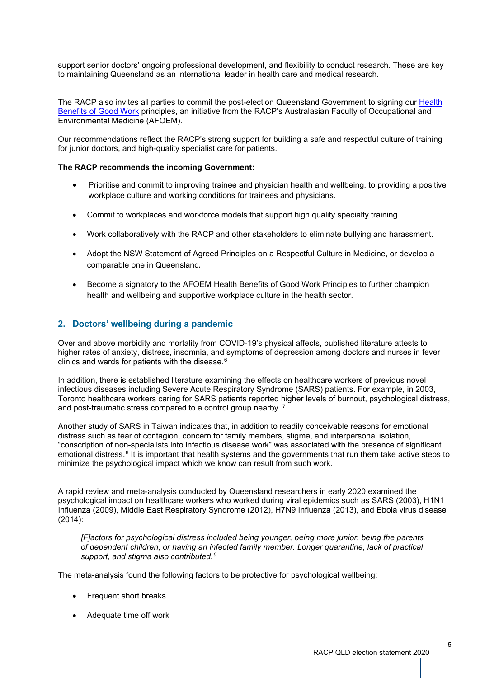support senior doctors' ongoing professional development, and flexibility to conduct research. These are key to maintaining Queensland as an international leader in health care and medical research.

The RACP also invites all parties to commit the post-election Queensland Government to signing our [Health](https://www.racp.edu.au/advocacy/division-faculty-and-chapter-priorities/faculty-of-occupational-environmental-medicine/health-benefits-of-good-work) [Benefits](https://www.racp.edu.au/advocacy/division-faculty-and-chapter-priorities/faculty-of-occupational-environmental-medicine/health-benefits-of-good-work) of Good Work principles, an initiative from the RACP's Australasian Faculty of Occupational and Environmental Medicine (AFOEM).

Our recommendations reflect the RACP's strong support for building a safe and respectful culture of training for junior doctors, and high-quality specialist care for patients.

## **The RACP recommends the incoming Government:**

- Prioritise and commit to improving trainee and physician health and wellbeing, to providing a positive workplace culture and working conditions for trainees and physicians.
- Commit to workplaces and workforce models that support high quality specialty training.
- Work collaboratively with the RACP and other stakeholders to eliminate bullying and harassment.
- Adopt the NSW Statement of Agreed Principles on a Respectful Culture in Medicine, or develop a comparable one in Queensland.
- Become a signatory to the AFOEM Health Benefits of Good Work Principles to further champion health and wellbeing and supportive workplace culture in the health sector.

## **2. Doctors' wellbeing during a pandemic**

Over and above morbidity and mortality from COVID-19's physical affects, published literature attests to higher rates of anxiety, distress, insomnia, and symptoms of depression among doctors and nurses in fever clinics and wards for patients with the disease.<sup>[6](#page-13-5)</sup>

In addition, there is established literature examining the effects on healthcare workers of previous novel infectious diseases including Severe Acute Respiratory Syndrome (SARS) patients. For example, in 2003, Toronto healthcare workers caring for SARS patients reported higher levels of burnout, psychological distress, and post-traumatic stress compared to a control group nearby. [7](#page-13-6)

Another study of SARS in Taiwan indicates that, in addition to readily conceivable reasons for emotional distress such as fear of contagion, concern for family members, stigma, and interpersonal isolation, "conscription of non-specialists into infectious disease work" was associated with the presence of significant emotional distress.<sup>[8](#page-13-7)</sup> It is important that health systems and the governments that run them take active steps to minimize the psychological impact which we know can result from such work.

A rapid review and meta-analysis conducted by Queensland researchers in early 2020 examined the psychological impact on healthcare workers who worked during viral epidemics such as SARS (2003), H1N1 Influenza (2009), Middle East Respiratory Syndrome (2012), H7N9 Influenza (2013), and Ebola virus disease (2014):

*[F]actors for psychological distress included being younger, being more junior, being the parents of dependent children, or having an infected family member. Longer quarantine, lack of practical support, and stigma also contributed.[9](#page-13-8)*

The meta-analysis found the following factors to be protective for psychological wellbeing:

- Frequent short breaks
- Adequate time off work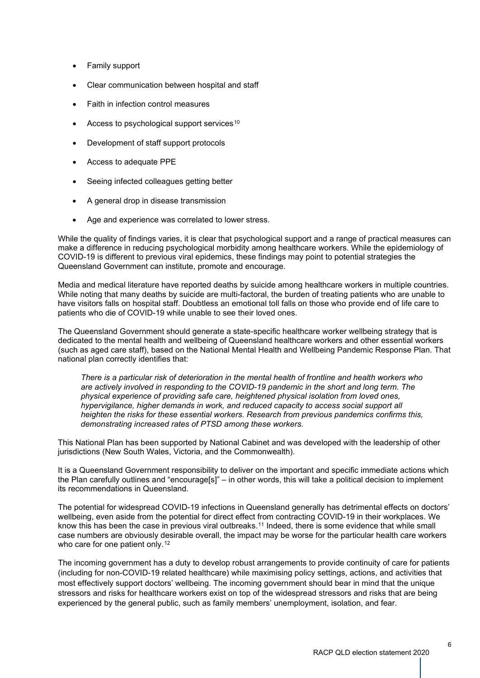- Family support
- Clear communication between hospital and staff
- Faith in infection control measures
- Access to psychological support services<sup>[10](#page-13-9)</sup>
- Development of staff support protocols
- Access to adequate PPE
- Seeing infected colleagues getting better
- A general drop in disease transmission
- Age and experience was correlated to lower stress.

While the quality of findings varies, it is clear that psychological support and a range of practical measures can make a difference in reducing psychological morbidity among healthcare workers. While the epidemiology of COVID-19 is different to previous viral epidemics, these findings may point to potential strategies the Queensland Government can institute, promote and encourage.

Media and medical literature have reported deaths by suicide among healthcare workers in multiple countries. While noting that many deaths by suicide are multi-factoral, the burden of treating patients who are unable to have visitors falls on hospital staff. Doubtless an emotional toll falls on those who provide end of life care to patients who die of COVID-19 while unable to see their loved ones.

The Queensland Government should generate a state-specific healthcare worker wellbeing strategy that is dedicated to the mental health and wellbeing of Queensland healthcare workers and other essential workers (such as aged care staff), based on the National Mental Health and Wellbeing Pandemic Response Plan. That national plan correctly identifies that:

*There is a particular risk of deterioration in the mental health of frontline and health workers who are actively involved in responding to the COVID-19 pandemic in the short and long term. The physical experience of providing safe care, heightened physical isolation from loved ones, hypervigilance, higher demands in work, and reduced capacity to access social support all heighten the risks for these essential workers. Research from previous pandemics confirms this, demonstrating increased rates of PTSD among these workers.*

This National Plan has been supported by National Cabinet and was developed with the leadership of other jurisdictions (New South Wales, Victoria, and the Commonwealth).

It is a Queensland Government responsibility to deliver on the important and specific immediate actions which the Plan carefully outlines and "encourage[s]" – in other words, this will take a political decision to implement its recommendations in Queensland.

The potential for widespread COVID-19 infections in Queensland generally has detrimental effects on doctors' wellbeing, even aside from the potential for direct effect from contracting COVID-19 in their workplaces. We know this has been the case in previous viral outbreaks.<sup>[11](#page-13-10)</sup> Indeed, there is some evidence that while small case numbers are obviously desirable overall, the impact may be worse for the particular health care workers who care for one patient only.<sup>[12](#page-13-11)</sup>

The incoming government has a duty to develop robust arrangements to provide continuity of care for patients (including for non-COVID-19 related healthcare) while maximising policy settings, actions, and activities that most effectively support doctors' wellbeing. The incoming government should bear in mind that the unique stressors and risks for healthcare workers exist on top of the widespread stressors and risks that are being experienced by the general public, such as family members' unemployment, isolation, and fear.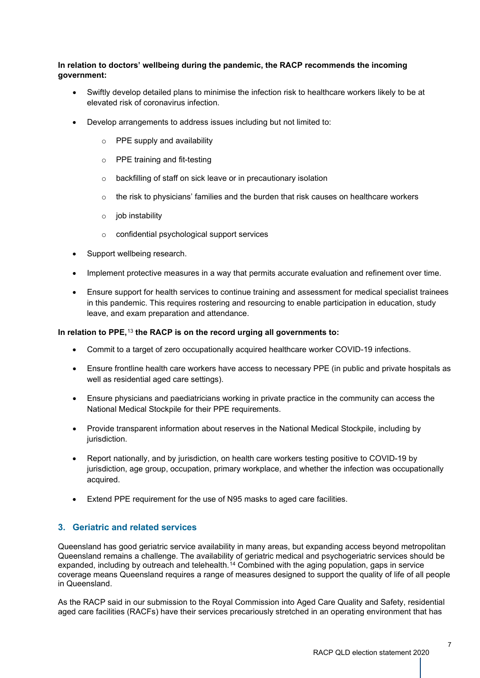## **In relation to doctors' wellbeing during the pandemic, the RACP recommends the incoming government:**

- Swiftly develop detailed plans to minimise the infection risk to healthcare workers likely to be at elevated risk of coronavirus infection.
- Develop arrangements to address issues including but not limited to:
	- o PPE supply and availability
	- o PPE training and fit-testing
	- o backfilling of staff on sick leave or in precautionary isolation
	- $\circ$  the risk to physicians' families and the burden that risk causes on healthcare workers
	- o job instability
	- o confidential psychological support services
- Support wellbeing research.
- Implement protective measures in a way that permits accurate evaluation and refinement over time.
- Ensure support for health services to continue training and assessment for medical specialist trainees in this pandemic. This requires rostering and resourcing to enable participation in education, study leave, and exam preparation and attendance.

## **In relation to PPE,**[13](#page-13-12) **the RACP is on the record urging all governments to:**

- Commit to a target of zero occupationally acquired healthcare worker COVID-19 infections.
- Ensure frontline health care workers have access to necessary PPE (in public and private hospitals as well as residential aged care settings).
- Ensure physicians and paediatricians working in private practice in the community can access the National Medical Stockpile for their PPE requirements.
- Provide transparent information about reserves in the National Medical Stockpile, including by jurisdiction.
- Report nationally, and by jurisdiction, on health care workers testing positive to COVID-19 by jurisdiction, age group, occupation, primary workplace, and whether the infection was occupationally acquired.
- Extend PPE requirement for the use of N95 masks to aged care facilities.

## **3. Geriatric and related services**

Queensland has good geriatric service availability in many areas, but expanding access beyond metropolitan Queensland remains a challenge. The availability of geriatric medical and psychogeriatric services should be expanded, including by outreach and telehealth.<sup>[14](#page-13-13)</sup> Combined with the aging population, gaps in service coverage means Queensland requires a range of measures designed to support the quality of life of all people in Queensland.

As the RACP said in our submission to the Royal Commission into Aged Care Quality and Safety, residential aged care facilities (RACFs) have their services precariously stretched in an operating environment that has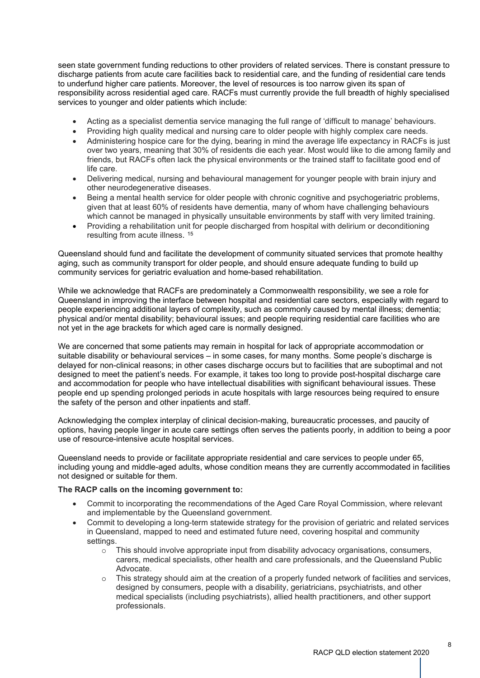seen state government funding reductions to other providers of related services. There is constant pressure to discharge patients from acute care facilities back to residential care, and the funding of residential care tends to underfund higher care patients. Moreover, the level of resources is too narrow given its span of responsibility across residential aged care. RACFs must currently provide the full breadth of highly specialised services to younger and older patients which include:

- Acting as a specialist dementia service managing the full range of 'difficult to manage' behaviours.
- Providing high quality medical and nursing care to older people with highly complex care needs.
- Administering hospice care for the dying, bearing in mind the average life expectancy in RACFs is just over two years, meaning that 30% of residents die each year. Most would like to die among family and friends, but RACFs often lack the physical environments or the trained staff to facilitate good end of life care.
- Delivering medical, nursing and behavioural management for younger people with brain injury and other neurodegenerative diseases.
- Being a mental health service for older people with chronic cognitive and psychogeriatric problems, given that at least 60% of residents have dementia, many of whom have challenging behaviours which cannot be managed in physically unsuitable environments by staff with very limited training.
- Providing a rehabilitation unit for people discharged from hospital with delirium or deconditioning resulting from acute illness. [15](#page-13-14)

Queensland should fund and facilitate the development of community situated services that promote healthy aging, such as community transport for older people, and should ensure adequate funding to build up community services for geriatric evaluation and home-based rehabilitation.

While we acknowledge that RACFs are predominately a Commonwealth responsibility, we see a role for Queensland in improving the interface between hospital and residential care sectors, especially with regard to people experiencing additional layers of complexity, such as commonly caused by mental illness; dementia; physical and/or mental disability; behavioural issues; and people requiring residential care facilities who are not yet in the age brackets for which aged care is normally designed.

We are concerned that some patients may remain in hospital for lack of appropriate accommodation or suitable disability or behavioural services – in some cases, for many months. Some people's discharge is delayed for non-clinical reasons; in other cases discharge occurs but to facilities that are suboptimal and not designed to meet the patient's needs. For example, it takes too long to provide post-hospital discharge care and accommodation for people who have intellectual disabilities with significant behavioural issues. These people end up spending prolonged periods in acute hospitals with large resources being required to ensure the safety of the person and other inpatients and staff.

Acknowledging the complex interplay of clinical decision-making, bureaucratic processes, and paucity of options, having people linger in acute care settings often serves the patients poorly, in addition to being a poor use of resource-intensive acute hospital services.

Queensland needs to provide or facilitate appropriate residential and care services to people under 65, including young and middle-aged adults, whose condition means they are currently accommodated in facilities not designed or suitable for them.

#### **The RACP calls on the incoming government to:**

- Commit to incorporating the recommendations of the Aged Care Royal Commission, where relevant and implementable by the Queensland government.
- Commit to developing a long-term statewide strategy for the provision of geriatric and related services in Queensland, mapped to need and estimated future need, covering hospital and community settings.
	- $\circ$  This should involve appropriate input from disability advocacy organisations, consumers, carers, medical specialists, other health and care professionals, and the Queensland Public Advocate.
	- This strategy should aim at the creation of a properly funded network of facilities and services, designed by consumers, people with a disability, geriatricians, psychiatrists, and other medical specialists (including psychiatrists), allied health practitioners, and other support professionals.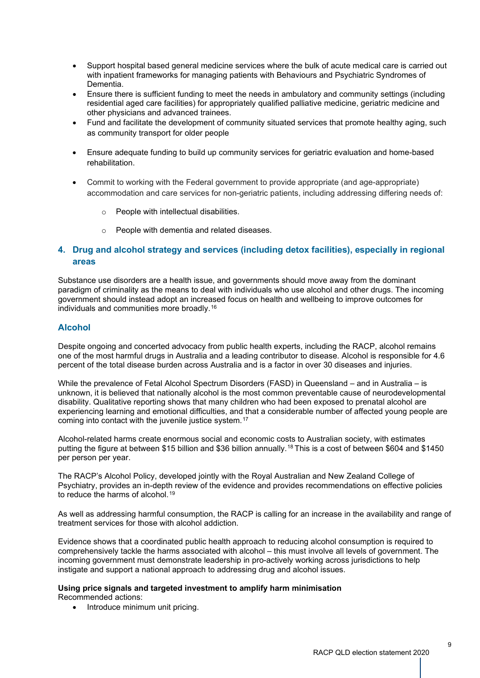- Support hospital based general medicine services where the bulk of acute medical care is carried out with inpatient frameworks for managing patients with Behaviours and Psychiatric Syndromes of Dementia.
- Ensure there is sufficient funding to meet the needs in ambulatory and community settings (including residential aged care facilities) for appropriately qualified palliative medicine, geriatric medicine and other physicians and advanced trainees.
- Fund and facilitate the development of community situated services that promote healthy aging, such as community transport for older people
- Ensure adequate funding to build up community services for geriatric evaluation and home-based rehabilitation.
- Commit to working with the Federal government to provide appropriate (and age-appropriate) accommodation and care services for non-geriatric patients, including addressing differing needs of:
	- o People with intellectual disabilities.
	- o People with dementia and related diseases.

## **4. Drug and alcohol strategy and services (including detox facilities), especially in regional areas**

Substance use disorders are a health issue, and governments should move away from the dominant paradigm of criminality as the means to deal with individuals who use alcohol and other drugs. The incoming government should instead adopt an increased focus on health and wellbeing to improve outcomes for individuals and communities more broadly.[16](#page-13-15)

## **Alcohol**

Despite ongoing and concerted advocacy from public health experts, including the RACP, alcohol remains one of the most harmful drugs in Australia and a leading contributor to disease. Alcohol is responsible for 4.6 percent of the total disease burden across Australia and is a factor in over 30 diseases and injuries.

While the prevalence of Fetal Alcohol Spectrum Disorders (FASD) in Queensland – and in Australia – is unknown, it is believed that nationally alcohol is the most common preventable cause of neurodevelopmental disability. Qualitative reporting shows that many children who had been exposed to prenatal alcohol are experiencing learning and emotional difficulties, and that a considerable number of affected young people are coming into contact with the juvenile justice system.<sup>[17](#page-13-16)</sup>

Alcohol-related harms create enormous social and economic costs to Australian society, with estimates putting the figure at between \$15 billion and \$36 billion annually.[18](#page-13-17) This is a cost of between \$604 and \$1450 per person per year.

The RACP's Alcohol Policy, developed jointly with the Royal Australian and New Zealand College of Psychiatry, provides an in-depth review of the evidence and provides recommendations on effective policies to reduce the harms of alcohol.<sup>[19](#page-13-18)</sup>

As well as addressing harmful consumption, the RACP is calling for an increase in the availability and range of treatment services for those with alcohol addiction.

Evidence shows that a coordinated public health approach to reducing alcohol consumption is required to comprehensively tackle the harms associated with alcohol – this must involve all levels of government. The incoming government must demonstrate leadership in pro-actively working across jurisdictions to help instigate and support a national approach to addressing drug and alcohol issues.

#### **Using price signals and targeted investment to amplify harm minimisation** Recommended actions:

• Introduce minimum unit pricing.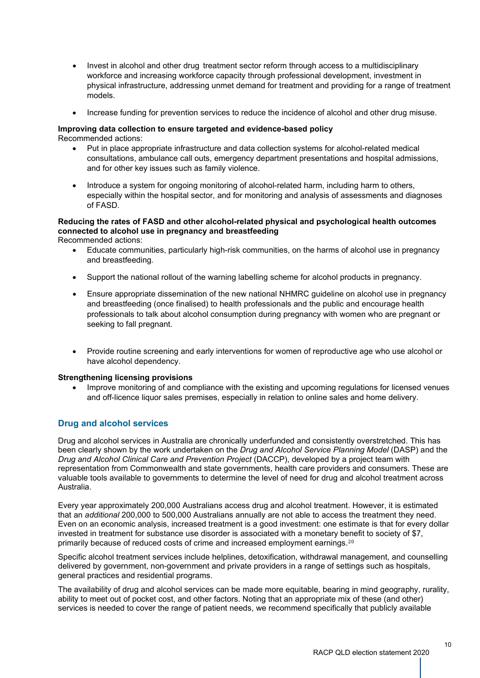- Invest in alcohol and other drug treatment sector reform through access to a multidisciplinary workforce and increasing workforce capacity through professional development, investment in physical infrastructure, addressing unmet demand for treatment and providing for a range of treatment models.
- Increase funding for prevention services to reduce the incidence of alcohol and other drug misuse.

#### **Improving data collection to ensure targeted and evidence-based policy** Recommended actions:

- Put in place appropriate infrastructure and data collection systems for alcohol-related medical consultations, ambulance call outs, emergency department presentations and hospital admissions, and for other key issues such as family violence.
	- Introduce a system for ongoing monitoring of alcohol-related harm, including harm to others, especially within the hospital sector, and for monitoring and analysis of assessments and diagnoses of FASD.

#### **Reducing the rates of FASD and other alcohol-related physical and psychological health outcomes connected to alcohol use in pregnancy and breastfeeding** Recommended actions:

- Educate communities, particularly high-risk communities, on the harms of alcohol use in pregnancy and breastfeeding.
- Support the national rollout of the warning labelling scheme for alcohol products in pregnancy.
- Ensure appropriate dissemination of the new national NHMRC quideline on alcohol use in pregnancy and breastfeeding (once finalised) to health professionals and the public and encourage health professionals to talk about alcohol consumption during pregnancy with women who are pregnant or seeking to fall pregnant.
- Provide routine screening and early interventions for women of reproductive age who use alcohol or have alcohol dependency.

## **Strengthening licensing provisions**

• Improve monitoring of and compliance with the existing and upcoming regulations for licensed venues and off-licence liquor sales premises, especially in relation to online sales and home delivery.

## **Drug and alcohol services**

Drug and alcohol services in Australia are chronically underfunded and consistently overstretched. This has been clearly shown by the work undertaken on the *Drug and Alcohol Service Planning Model* (DASP) and the *Drug and Alcohol Clinical Care and Prevention Project* (DACCP), developed by a project team with representation from Commonwealth and state governments, health care providers and consumers. These are valuable tools available to governments to determine the level of need for drug and alcohol treatment across Australia.

Every year approximately 200,000 Australians access drug and alcohol treatment. However, it is estimated that an *additional* 200,000 to 500,000 Australians annually are not able to access the treatment they need. Even on an economic analysis, increased treatment is a good investment: one estimate is that for every dollar invested in treatment for substance use disorder is associated with a monetary benefit to society of \$7, primarily because of reduced costs of crime and increased employment earnings.<sup>[20](#page-13-19)</sup>

Specific alcohol treatment services include helplines, detoxification, withdrawal management, and counselling delivered by government, non-government and private providers in a range of settings such as hospitals, general practices and residential programs.

The availability of drug and alcohol services can be made more equitable, bearing in mind geography, rurality, ability to meet out of pocket cost, and other factors. Noting that an appropriate mix of these (and other) services is needed to cover the range of patient needs, we recommend specifically that publicly available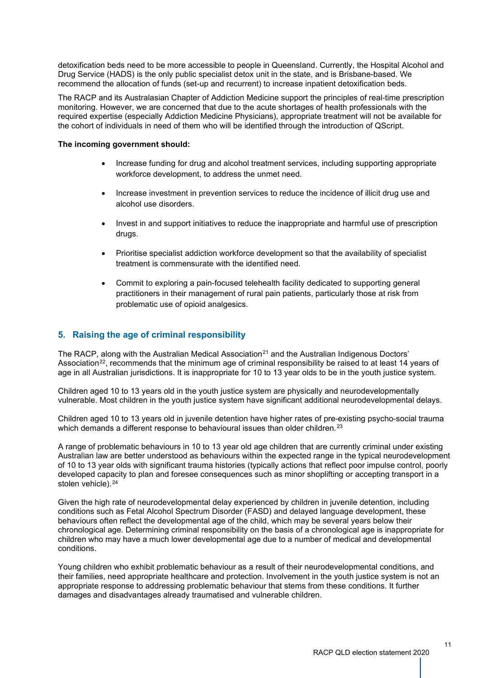detoxification beds need to be more accessible to people in Queensland. Currently, the Hospital Alcohol and Drug Service (HADS) is the only public specialist detox unit in the state, and is Brisbane-based. We recommend the allocation of funds (set-up and recurrent) to increase inpatient detoxification beds.

The RACP and its Australasian Chapter of Addiction Medicine support the principles of real-time prescription monitoring. However, we are concerned that due to the acute shortages of health professionals with the required expertise (especially Addiction Medicine Physicians), appropriate treatment will not be available for the cohort of individuals in need of them who will be identified through the introduction of QScript.

## **The incoming government should:**

- Increase funding for drug and alcohol treatment services, including supporting appropriate workforce development, to address the unmet need.
- Increase investment in prevention services to reduce the incidence of illicit drug use and alcohol use disorders.
- Invest in and support initiatives to reduce the inappropriate and harmful use of prescription drugs.
- Prioritise specialist addiction workforce development so that the availability of specialist treatment is commensurate with the identified need.
- Commit to exploring a pain-focused telehealth facility dedicated to supporting general practitioners in their management of rural pain patients, particularly those at risk from problematic use of opioid analgesics.

## **5. Raising the age of criminal responsibility**

The RACP, along with the Australian Medical Association<sup>[21](#page-13-20)</sup> and the Australian Indigenous Doctors' Association<sup>22</sup>, recommends that the minimum age of criminal responsibility be raised to at least 14 years of age in all Australian jurisdictions. It is inappropriate for 10 to 13 year olds to be in the youth justice system.

Children aged 10 to 13 years old in the youth justice system are physically and neurodevelopmentally vulnerable. Most children in the youth justice system have significant additional neurodevelopmental delays.

Children aged 10 to 13 years old in juvenile detention have higher rates of pre-existing psycho-social trauma which demands a different response to behavioural issues than older children.<sup>[23](#page-13-22)</sup>

A range of problematic behaviours in 10 to 13 year old age children that are currently criminal under existing Australian law are better understood as behaviours within the expected range in the typical neurodevelopment of 10 to 13 year olds with significant trauma histories (typically actions that reflect poor impulse control, poorly developed capacity to plan and foresee consequences such as minor shoplifting or accepting transport in a stolen vehicle).<sup>[24](#page-13-23)</sup>

Given the high rate of neurodevelopmental delay experienced by children in juvenile detention, including conditions such as Fetal Alcohol Spectrum Disorder (FASD) and delayed language development, these behaviours often reflect the developmental age of the child, which may be several years below their chronological age. Determining criminal responsibility on the basis of a chronological age is inappropriate for children who may have a much lower developmental age due to a number of medical and developmental conditions.

Young children who exhibit problematic behaviour as a result of their neurodevelopmental conditions, and their families, need appropriate healthcare and protection. Involvement in the youth justice system is not an appropriate response to addressing problematic behaviour that stems from these conditions. It further damages and disadvantages already traumatised and vulnerable children.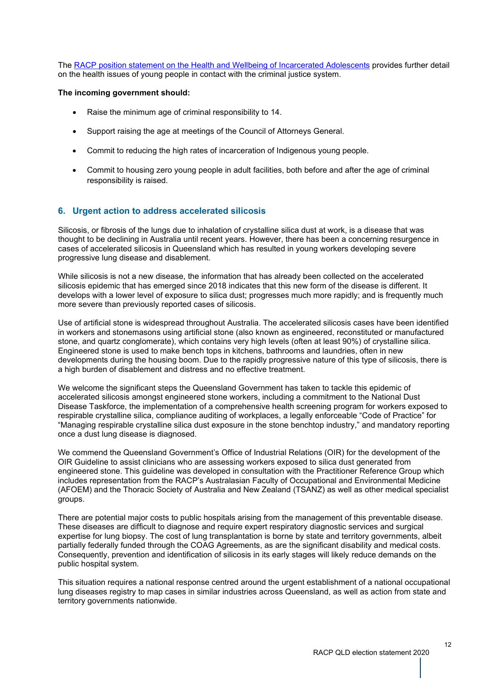The RACP position statement on the Health and Wellbeing of [Incarcerated](https://www.racp.edu.au/docs/default-source/advocacy-library/the-health-and-wellbeing-on-incarcerated-adolescents.pdf) Adolescents provides further detail on the health issues of young people in contact with the criminal justice system.

#### **The incoming government should:**

- Raise the minimum age of criminal responsibility to 14.
- Support raising the age at meetings of the Council of Attorneys General.
- Commit to reducing the high rates of incarceration of Indigenous young people.
- Commit to housing zero young people in adult facilities, both before and after the age of criminal responsibility is raised.

## **6. Urgent action to address accelerated silicosis**

Silicosis, or fibrosis of the lungs due to inhalation of crystalline silica dust at work, is a disease that was thought to be declining in Australia until recent years. However, there has been a concerning resurgence in cases of accelerated silicosis in Queensland which has resulted in young workers developing severe progressive lung disease and disablement.

While silicosis is not a new disease, the information that has already been collected on the accelerated silicosis epidemic that has emerged since 2018 indicates that this new form of the disease is different. It develops with a lower level of exposure to silica dust; progresses much more rapidly; and is frequently much more severe than previously reported cases of silicosis.

Use of artificial stone is widespread throughout Australia. The accelerated silicosis cases have been identified in workers and stonemasons using artificial stone (also known as engineered, reconstituted or manufactured stone, and quartz conglomerate), which contains very high levels (often at least 90%) of crystalline silica. Engineered stone is used to make bench tops in kitchens, bathrooms and laundries, often in new developments during the housing boom. Due to the rapidly progressive nature of this type of silicosis, there is a high burden of disablement and distress and no effective treatment.

We welcome the significant steps the Queensland Government has taken to tackle this epidemic of accelerated silicosis amongst engineered stone workers, including a commitment to the National Dust Disease Taskforce, the implementation of a comprehensive health screening program for workers exposed to respirable crystalline silica, compliance auditing of workplaces, a legally enforceable "Code of Practice" for "Managing respirable crystalline silica dust exposure in the stone benchtop industry," and mandatory reporting once a dust lung disease is diagnosed.

We commend the Queensland Government's Office of Industrial Relations (OIR) for the development of the OIR Guideline to assist clinicians who are assessing workers exposed to silica dust generated from engineered stone. This guideline was developed in consultation with the Practitioner Reference Group which includes representation from the RACP's Australasian Faculty of Occupational and Environmental Medicine (AFOEM) and the Thoracic Society of Australia and New Zealand (TSANZ) as well as other medical specialist groups.

There are potential major costs to public hospitals arising from the management of this preventable disease. These diseases are difficult to diagnose and require expert respiratory diagnostic services and surgical expertise for lung biopsy. The cost of lung transplantation is borne by state and territory governments, albeit partially federally funded through the COAG Agreements, as are the significant disability and medical costs. Consequently, prevention and identification of silicosis in its early stages will likely reduce demands on the public hospital system.

This situation requires a national response centred around the urgent establishment of a national occupational lung diseases registry to map cases in similar industries across Queensland, as well as action from state and territory governments nationwide.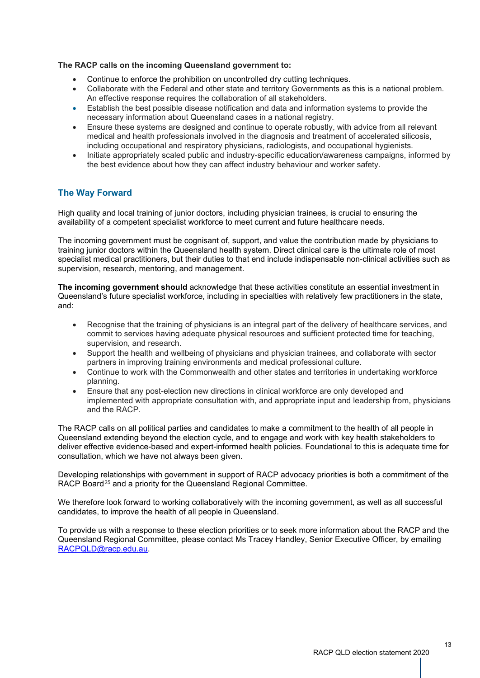## **The RACP calls on the incoming Queensland government to:**

- Continue to enforce the prohibition on uncontrolled dry cutting techniques.
- Collaborate with the Federal and other state and territory Governments as this is a national problem. An effective response requires the collaboration of all stakeholders.
- Establish the best possible disease notification and data and information systems to provide the necessary information about Queensland cases in a national registry.
- Ensure these systems are designed and continue to operate robustly, with advice from all relevant medical and health professionals involved in the diagnosis and treatment of accelerated silicosis, including occupational and respiratory physicians, radiologists, and occupational hygienists.
- Initiate appropriately scaled public and industry-specific education/awareness campaigns, informed by the best evidence about how they can affect industry behaviour and worker safety.

## **The Way Forward**

High quality and local training of junior doctors, including physician trainees, is crucial to ensuring the availability of a competent specialist workforce to meet current and future healthcare needs.

The incoming government must be cognisant of, support, and value the contribution made by physicians to training junior doctors within the Queensland health system. Direct clinical care is the ultimate role of most specialist medical practitioners, but their duties to that end include indispensable non-clinical activities such as supervision, research, mentoring, and management.

**The incoming government should** acknowledge that these activities constitute an essential investment in Queensland's future specialist workforce, including in specialties with relatively few practitioners in the state, and:

- Recognise that the training of physicians is an integral part of the delivery of healthcare services, and commit to services having adequate physical resources and sufficient protected time for teaching, supervision, and research.
- Support the health and wellbeing of physicians and physician trainees, and collaborate with sector partners in improving training environments and medical professional culture.
- Continue to work with the Commonwealth and other states and territories in undertaking workforce planning.
- Ensure that any post-election new directions in clinical workforce are only developed and implemented with appropriate consultation with, and appropriate input and leadership from, physicians and the RACP.

The RACP calls on all political parties and candidates to make a commitment to the health of all people in Queensland extending beyond the election cycle, and to engage and work with key health stakeholders to deliver effective evidence-based and expert-informed health policies. Foundational to this is adequate time for consultation, which we have not always been given.

Developing relationships with government in support of RACP advocacy priorities is both a commitment of the RACP Board<sup>[25](#page-13-24)</sup> and a priority for the Queensland Regional Committee.

We therefore look forward to working collaboratively with the incoming government, as well as all successful candidates, to improve the health of all people in Queensland.

To provide us with a response to these election priorities or to seek more information about the RACP and the Queensland Regional Committee, please contact Ms Tracey Handley, Senior Executive Officer, by emailing [RACPQLD@racp.edu.au.](mailto:RACPQLD@racp.edu.au)